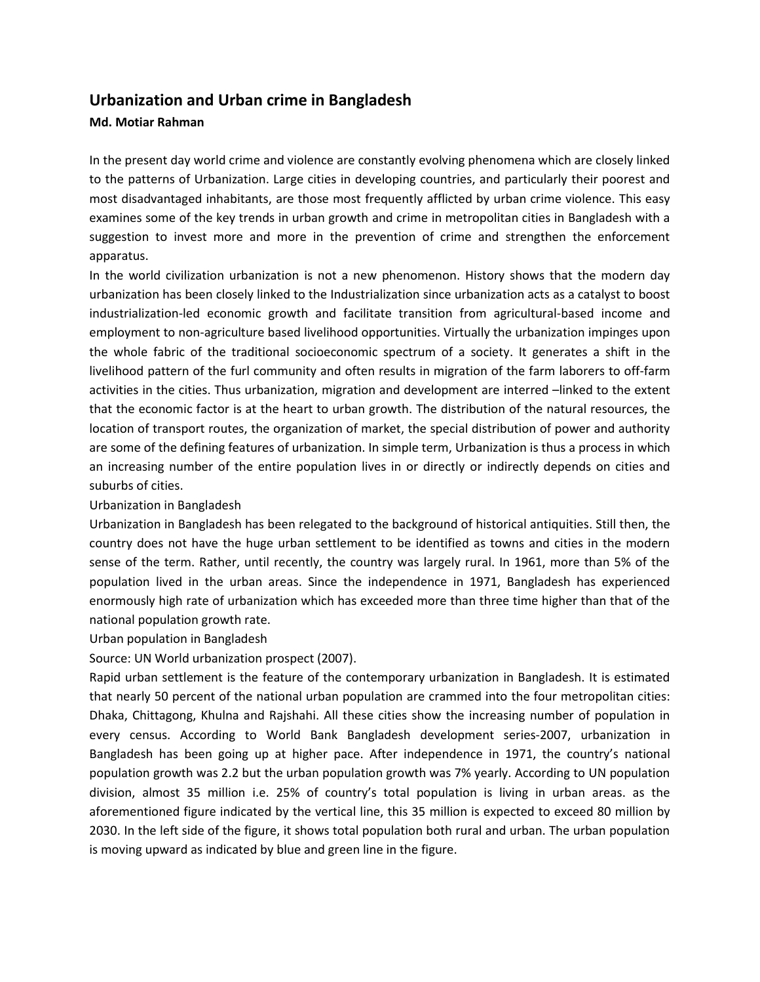# **Urbanization and Urban crime in Bangladesh**

## **Md. Motiar Rahman**

In the present day world crime and violence are constantly evolving phenomena which are closely linked to the patterns of Urbanization. Large cities in developing countries, and particularly their poorest and most disadvantaged inhabitants, are those most frequently afflicted by urban crime violence. This easy examines some of the key trends in urban growth and crime in metropolitan cities in Bangladesh with a suggestion to invest more and more in the prevention of crime and strengthen the enforcement apparatus.

In the world civilization urbanization is not a new phenomenon. History shows that the modern day urbanization has been closely linked to the Industrialization since urbanization acts as a catalyst to boost industrialization-led economic growth and facilitate transition from agricultural-based income and employment to non-agriculture based livelihood opportunities. Virtually the urbanization impinges upon the whole fabric of the traditional socioeconomic spectrum of a society. It generates a shift in the livelihood pattern of the furl community and often results in migration of the farm laborers to off-farm activities in the cities. Thus urbanization, migration and development are interred –linked to the extent that the economic factor is at the heart to urban growth. The distribution of the natural resources, the location of transport routes, the organization of market, the special distribution of power and authority are some of the defining features of urbanization. In simple term, Urbanization is thus a process in which an increasing number of the entire population lives in or directly or indirectly depends on cities and suburbs of cities.

#### Urbanization in Bangladesh

Urbanization in Bangladesh has been relegated to the background of historical antiquities. Still then, the country does not have the huge urban settlement to be identified as towns and cities in the modern sense of the term. Rather, until recently, the country was largely rural. In 1961, more than 5% of the population lived in the urban areas. Since the independence in 1971, Bangladesh has experienced enormously high rate of urbanization which has exceeded more than three time higher than that of the national population growth rate.

#### Urban population in Bangladesh

Source: UN World urbanization prospect (2007).

Rapid urban settlement is the feature of the contemporary urbanization in Bangladesh. It is estimated that nearly 50 percent of the national urban population are crammed into the four metropolitan cities: Dhaka, Chittagong, Khulna and Rajshahi. All these cities show the increasing number of population in every census. According to World Bank Bangladesh development series-2007, urbanization in Bangladesh has been going up at higher pace. After independence in 1971, the country's national population growth was 2.2 but the urban population growth was 7% yearly. According to UN population division, almost 35 million i.e. 25% of country's total population is living in urban areas. as the aforementioned figure indicated by the vertical line, this 35 million is expected to exceed 80 million by 2030. In the left side of the figure, it shows total population both rural and urban. The urban population is moving upward as indicated by blue and green line in the figure.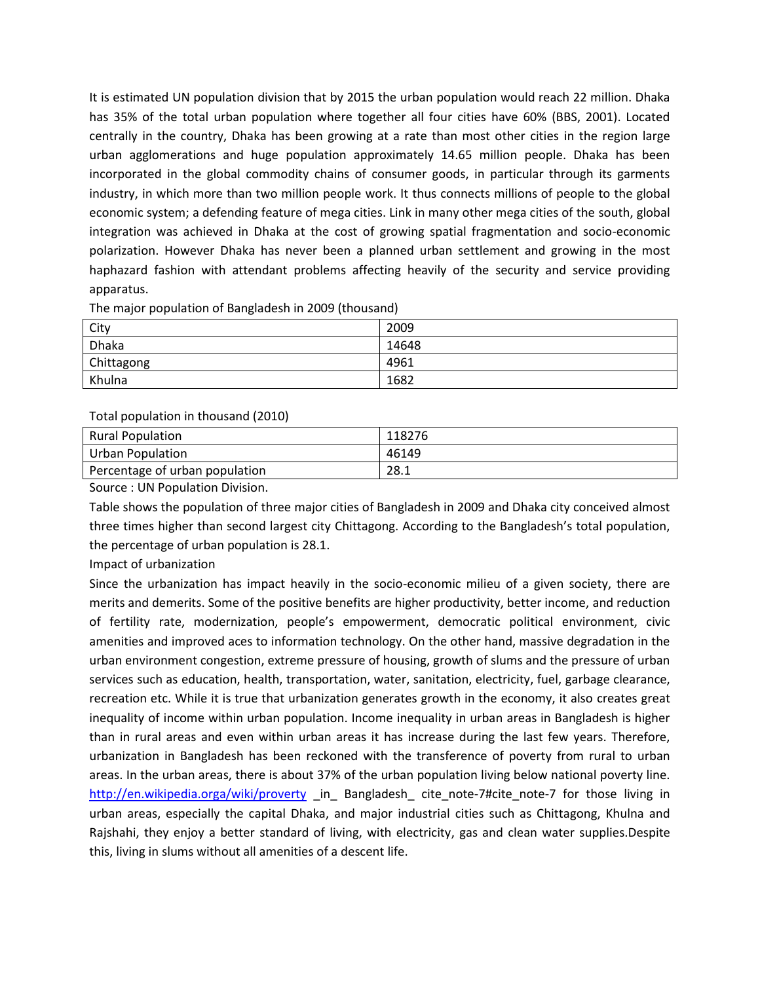It is estimated UN population division that by 2015 the urban population would reach 22 million. Dhaka has 35% of the total urban population where together all four cities have 60% (BBS, 2001). Located centrally in the country, Dhaka has been growing at a rate than most other cities in the region large urban agglomerations and huge population approximately 14.65 million people. Dhaka has been incorporated in the global commodity chains of consumer goods, in particular through its garments industry, in which more than two million people work. It thus connects millions of people to the global economic system; a defending feature of mega cities. Link in many other mega cities of the south, global integration was achieved in Dhaka at the cost of growing spatial fragmentation and socio-economic polarization. However Dhaka has never been a planned urban settlement and growing in the most haphazard fashion with attendant problems affecting heavily of the security and service providing apparatus.

| City       | 2009  |
|------------|-------|
| Dhaka      | 14648 |
| Chittagong | 4961  |
| Khulna     | 1682  |

Total population in thousand (2010)

| <b>Rural Population</b>        | 118276 |
|--------------------------------|--------|
| Urban Population               | 46149  |
| Percentage of urban population | 28.1   |

Source : UN Population Division.

Table shows the population of three major cities of Bangladesh in 2009 and Dhaka city conceived almost three times higher than second largest city Chittagong. According to the Bangladesh's total population, the percentage of urban population is 28.1.

Impact of urbanization

Since the urbanization has impact heavily in the socio-economic milieu of a given society, there are merits and demerits. Some of the positive benefits are higher productivity, better income, and reduction of fertility rate, modernization, people's empowerment, democratic political environment, civic amenities and improved aces to information technology. On the other hand, massive degradation in the urban environment congestion, extreme pressure of housing, growth of slums and the pressure of urban services such as education, health, transportation, water, sanitation, electricity, fuel, garbage clearance, recreation etc. While it is true that urbanization generates growth in the economy, it also creates great inequality of income within urban population. Income inequality in urban areas in Bangladesh is higher than in rural areas and even within urban areas it has increase during the last few years. Therefore, urbanization in Bangladesh has been reckoned with the transference of poverty from rural to urban areas. In the urban areas, there is about 37% of the urban population living below national poverty line. <http://en.wikipedia.orga/wiki/proverty> in Bangladesh cite note-7#cite note-7 for those living in urban areas, especially the capital Dhaka, and major industrial cities such as Chittagong, Khulna and Rajshahi, they enjoy a better standard of living, with electricity, gas and clean water supplies.Despite this, living in slums without all amenities of a descent life.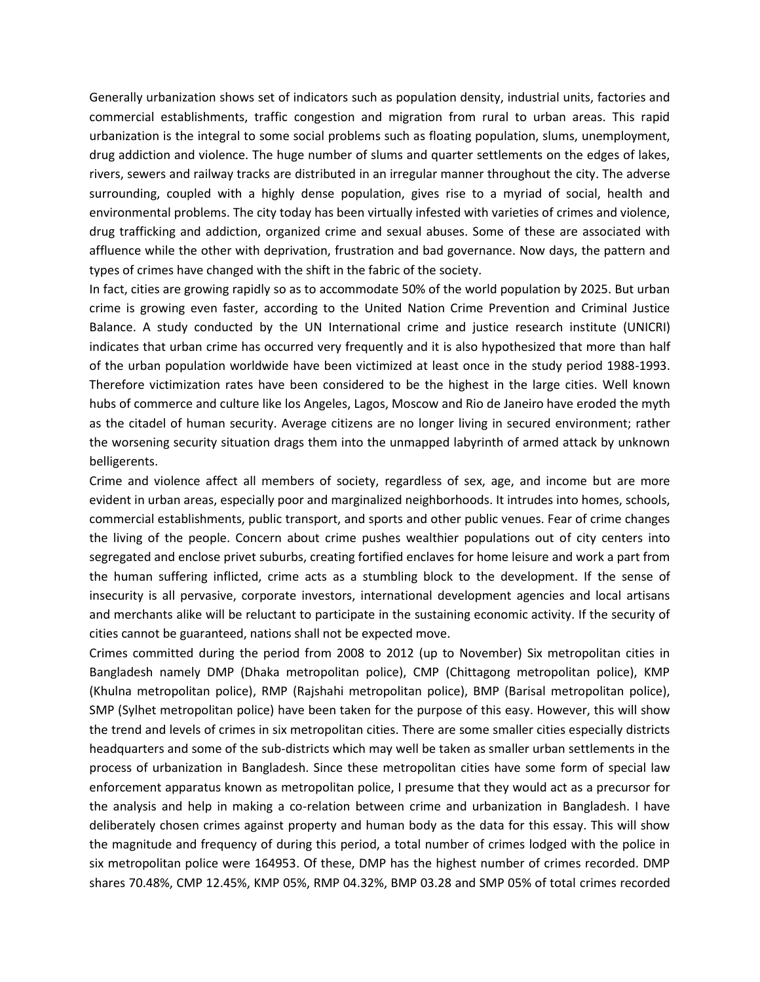Generally urbanization shows set of indicators such as population density, industrial units, factories and commercial establishments, traffic congestion and migration from rural to urban areas. This rapid urbanization is the integral to some social problems such as floating population, slums, unemployment, drug addiction and violence. The huge number of slums and quarter settlements on the edges of lakes, rivers, sewers and railway tracks are distributed in an irregular manner throughout the city. The adverse surrounding, coupled with a highly dense population, gives rise to a myriad of social, health and environmental problems. The city today has been virtually infested with varieties of crimes and violence, drug trafficking and addiction, organized crime and sexual abuses. Some of these are associated with affluence while the other with deprivation, frustration and bad governance. Now days, the pattern and types of crimes have changed with the shift in the fabric of the society.

In fact, cities are growing rapidly so as to accommodate 50% of the world population by 2025. But urban crime is growing even faster, according to the United Nation Crime Prevention and Criminal Justice Balance. A study conducted by the UN International crime and justice research institute (UNICRI) indicates that urban crime has occurred very frequently and it is also hypothesized that more than half of the urban population worldwide have been victimized at least once in the study period 1988-1993. Therefore victimization rates have been considered to be the highest in the large cities. Well known hubs of commerce and culture like los Angeles, Lagos, Moscow and Rio de Janeiro have eroded the myth as the citadel of human security. Average citizens are no longer living in secured environment; rather the worsening security situation drags them into the unmapped labyrinth of armed attack by unknown belligerents.

Crime and violence affect all members of society, regardless of sex, age, and income but are more evident in urban areas, especially poor and marginalized neighborhoods. It intrudes into homes, schools, commercial establishments, public transport, and sports and other public venues. Fear of crime changes the living of the people. Concern about crime pushes wealthier populations out of city centers into segregated and enclose privet suburbs, creating fortified enclaves for home leisure and work a part from the human suffering inflicted, crime acts as a stumbling block to the development. If the sense of insecurity is all pervasive, corporate investors, international development agencies and local artisans and merchants alike will be reluctant to participate in the sustaining economic activity. If the security of cities cannot be guaranteed, nations shall not be expected move.

Crimes committed during the period from 2008 to 2012 (up to November) Six metropolitan cities in Bangladesh namely DMP (Dhaka metropolitan police), CMP (Chittagong metropolitan police), KMP (Khulna metropolitan police), RMP (Rajshahi metropolitan police), BMP (Barisal metropolitan police), SMP (Sylhet metropolitan police) have been taken for the purpose of this easy. However, this will show the trend and levels of crimes in six metropolitan cities. There are some smaller cities especially districts headquarters and some of the sub-districts which may well be taken as smaller urban settlements in the process of urbanization in Bangladesh. Since these metropolitan cities have some form of special law enforcement apparatus known as metropolitan police, I presume that they would act as a precursor for the analysis and help in making a co-relation between crime and urbanization in Bangladesh. I have deliberately chosen crimes against property and human body as the data for this essay. This will show the magnitude and frequency of during this period, a total number of crimes lodged with the police in six metropolitan police were 164953. Of these, DMP has the highest number of crimes recorded. DMP shares 70.48%, CMP 12.45%, KMP 05%, RMP 04.32%, BMP 03.28 and SMP 05% of total crimes recorded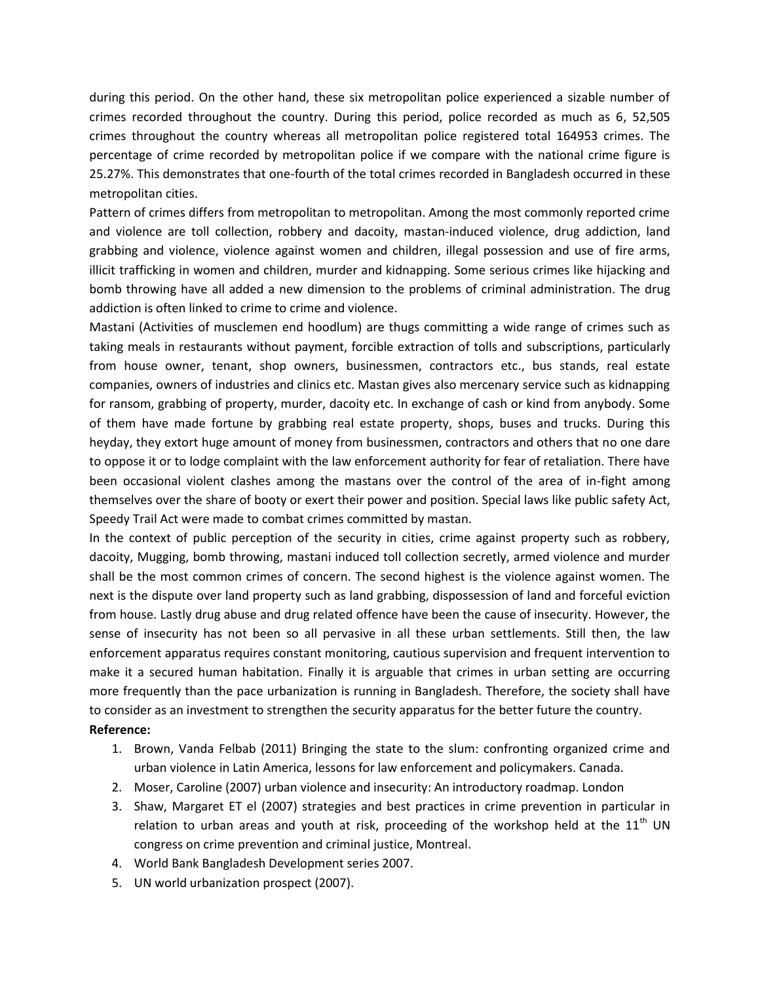during this period. On the other hand, these six metropolitan police experienced a sizable number of crimes recorded throughout the country. During this period, police recorded as much as 6, 52,505 crimes throughout the country whereas all metropolitan police registered total 164953 crimes. The percentage of crime recorded by metropolitan police if we compare with the national crime figure is 25.27%. This demonstrates that one-fourth of the total crimes recorded in Bangladesh occurred in these metropolitan cities.

Pattern of crimes differs from metropolitan to metropolitan. Among the most commonly reported crime and violence are toll collection, robbery and dacoity, mastan-induced violence, drug addiction, land grabbing and violence, violence against women and children, illegal possession and use of fire arms, illicit trafficking in women and children, murder and kidnapping. Some serious crimes like hijacking and bomb throwing have all added a new dimension to the problems of criminal administration. The drug addiction is often linked to crime to crime and violence.

Mastani (Activities of musclemen end hoodlum) are thugs committing a wide range of crimes such as taking meals in restaurants without payment, forcible extraction of tolls and subscriptions, particularly from house owner, tenant, shop owners, businessmen, contractors etc., bus stands, real estate companies, owners of industries and clinics etc. Mastan gives also mercenary service such as kidnapping for ransom, grabbing of property, murder, dacoity etc. In exchange of cash or kind from anybody. Some of them have made fortune by grabbing real estate property, shops, buses and trucks. During this heyday, they extort huge amount of money from businessmen, contractors and others that no one dare to oppose it or to lodge complaint with the law enforcement authority for fear of retaliation. There have been occasional violent clashes among the mastans over the control of the area of in-fight among themselves over the share of booty or exert their power and position. Special laws like public safety Act, Speedy Trail Act were made to combat crimes committed by mastan.

In the context of public perception of the security in cities, crime against property such as robbery, dacoity, Mugging, bomb throwing, mastani induced toll collection secretly, armed violence and murder shall be the most common crimes of concern. The second highest is the violence against women. The next is the dispute over land property such as land grabbing, dispossession of land and forceful eviction from house. Lastly drug abuse and drug related offence have been the cause of insecurity. However, the sense of insecurity has not been so all pervasive in all these urban settlements. Still then, the law enforcement apparatus requires constant monitoring, cautious supervision and frequent intervention to make it a secured human habitation. Finally it is arguable that crimes in urban setting are occurring more frequently than the pace urbanization is running in Bangladesh. Therefore, the society shall have to consider as an investment to strengthen the security apparatus for the better future the country. **Reference:**

- 1. Brown, Vanda Felbab (2011) Bringing the state to the slum: confronting organized crime and urban violence in Latin America, lessons for law enforcement and policymakers. Canada.
- 2. Moser, Caroline (2007) urban violence and insecurity: An introductory roadmap. London
- 3. Shaw, Margaret ET el (2007) strategies and best practices in crime prevention in particular in relation to urban areas and youth at risk, proceeding of the workshop held at the  $11<sup>th</sup>$  UN congress on crime prevention and criminal justice, Montreal.
- 4. World Bank Bangladesh Development series 2007.
- 5. UN world urbanization prospect (2007).